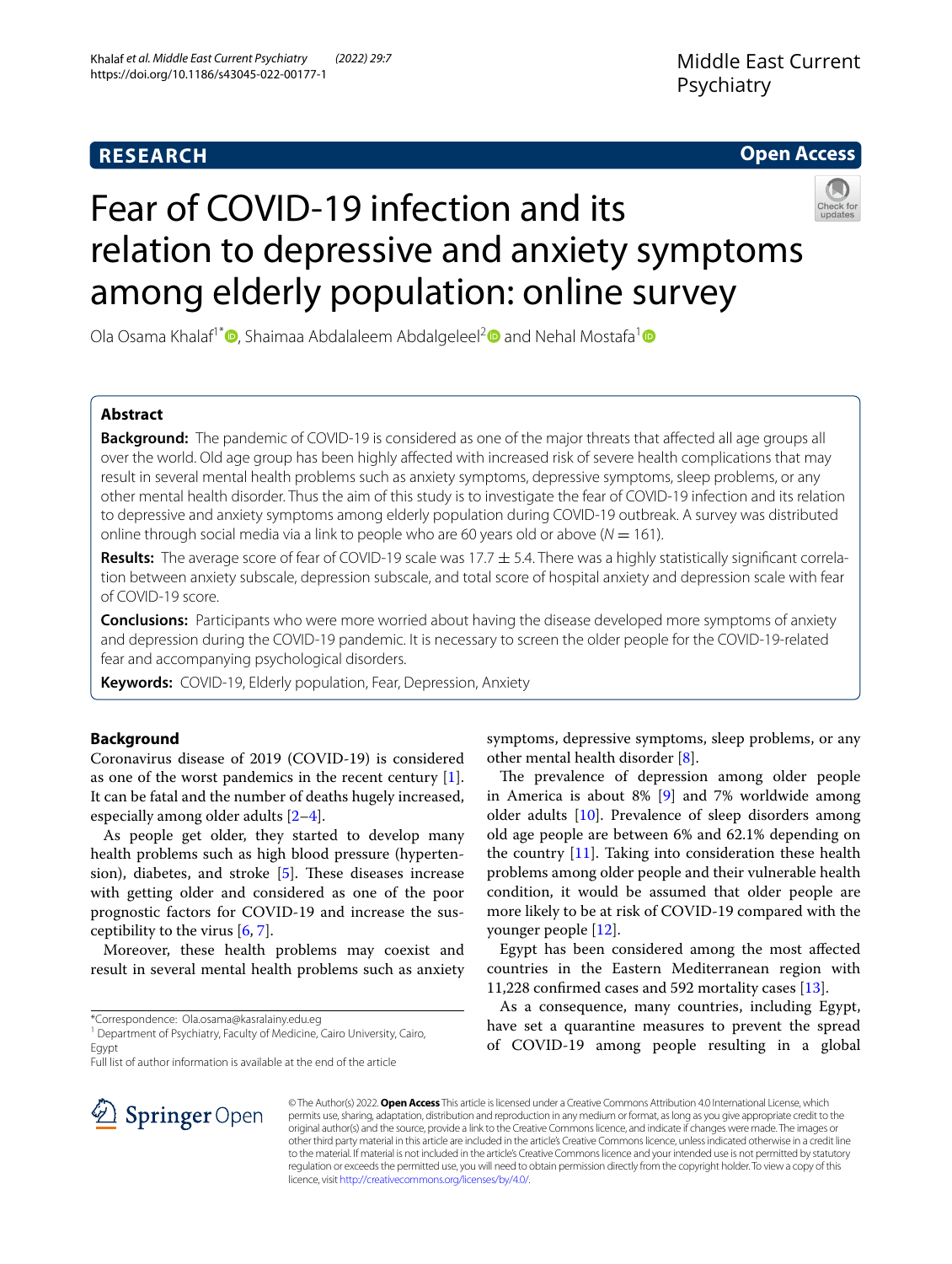# **RESEARCH**

# **Open Access**



# Fear of COVID-19 infection and its relation to depressive and anxiety symptoms among elderly population: online survey

Ola Osama Khalaf<sup>[1](https://orcid.org/0000-0001-8471-4251)\*</sup> **D**[,](http://orcid.org/0000-0001-5553-8439) Shaimaa Abdalaleem Abdalgeleel<sup>[2](https://orcid.org/0000-0003-0994-7703)</sup> and Nehal Mostafa<sup>1</sup> D

# **Abstract**

**Background:** The pandemic of COVID-19 is considered as one of the major threats that affected all age groups all over the world. Old age group has been highly afected with increased risk of severe health complications that may result in several mental health problems such as anxiety symptoms, depressive symptoms, sleep problems, or any other mental health disorder. Thus the aim of this study is to investigate the fear of COVID-19 infection and its relation to depressive and anxiety symptoms among elderly population during COVID-19 outbreak. A survey was distributed online through social media via a link to people who are 60 years old or above ( $N = 161$ ).

**Results:** The average score of fear of COVID-19 scale was 17.7  $\pm$  5.4. There was a highly statistically significant correlation between anxiety subscale, depression subscale, and total score of hospital anxiety and depression scale with fear of COVID-19 score.

**Conclusions:** Participants who were more worried about having the disease developed more symptoms of anxiety and depression during the COVID-19 pandemic. It is necessary to screen the older people for the COVID-19-related fear and accompanying psychological disorders.

**Keywords:** COVID-19, Elderly population, Fear, Depression, Anxiety

# **Background**

Coronavirus disease of 2019 (COVID-19) is considered as one of the worst pandemics in the recent century [\[1](#page-6-0)]. It can be fatal and the number of deaths hugely increased, especially among older adults [[2](#page-6-1)[–4](#page-6-2)].

As people get older, they started to develop many health problems such as high blood pressure (hypertension), diabetes, and stroke  $[5]$  $[5]$ . These diseases increase with getting older and considered as one of the poor prognostic factors for COVID-19 and increase the susceptibility to the virus [\[6](#page-6-4), [7\]](#page-6-5).

Moreover, these health problems may coexist and result in several mental health problems such as anxiety

\*Correspondence: Ola.osama@kasralainy.edu.eg

<sup>1</sup> Department of Psychiatry, Faculty of Medicine, Cairo University, Cairo, Egypt

Full list of author information is available at the end of the article

symptoms, depressive symptoms, sleep problems, or any other mental health disorder [\[8](#page-6-6)].

The prevalence of depression among older people in America is about 8% [[9\]](#page-6-7) and 7% worldwide among older adults [[10](#page-6-8)]. Prevalence of sleep disorders among old age people are between 6% and 62.1% depending on the country  $[11]$  $[11]$ . Taking into consideration these health problems among older people and their vulnerable health condition, it would be assumed that older people are more likely to be at risk of COVID-19 compared with the younger people [\[12](#page-6-10)].

Egypt has been considered among the most afected countries in the Eastern Mediterranean region with 11,228 confrmed cases and 592 mortality cases [[13](#page-6-11)].

As a consequence, many countries, including Egypt, have set a quarantine measures to prevent the spread of COVID-19 among people resulting in a global



© The Author(s) 2022. **Open Access** This article is licensed under a Creative Commons Attribution 4.0 International License, which permits use, sharing, adaptation, distribution and reproduction in any medium or format, as long as you give appropriate credit to the original author(s) and the source, provide a link to the Creative Commons licence, and indicate if changes were made. The images or other third party material in this article are included in the article's Creative Commons licence, unless indicated otherwise in a credit line to the material. If material is not included in the article's Creative Commons licence and your intended use is not permitted by statutory regulation or exceeds the permitted use, you will need to obtain permission directly from the copyright holder. To view a copy of this licence, visit [http://creativecommons.org/licenses/by/4.0/.](http://creativecommons.org/licenses/by/4.0/)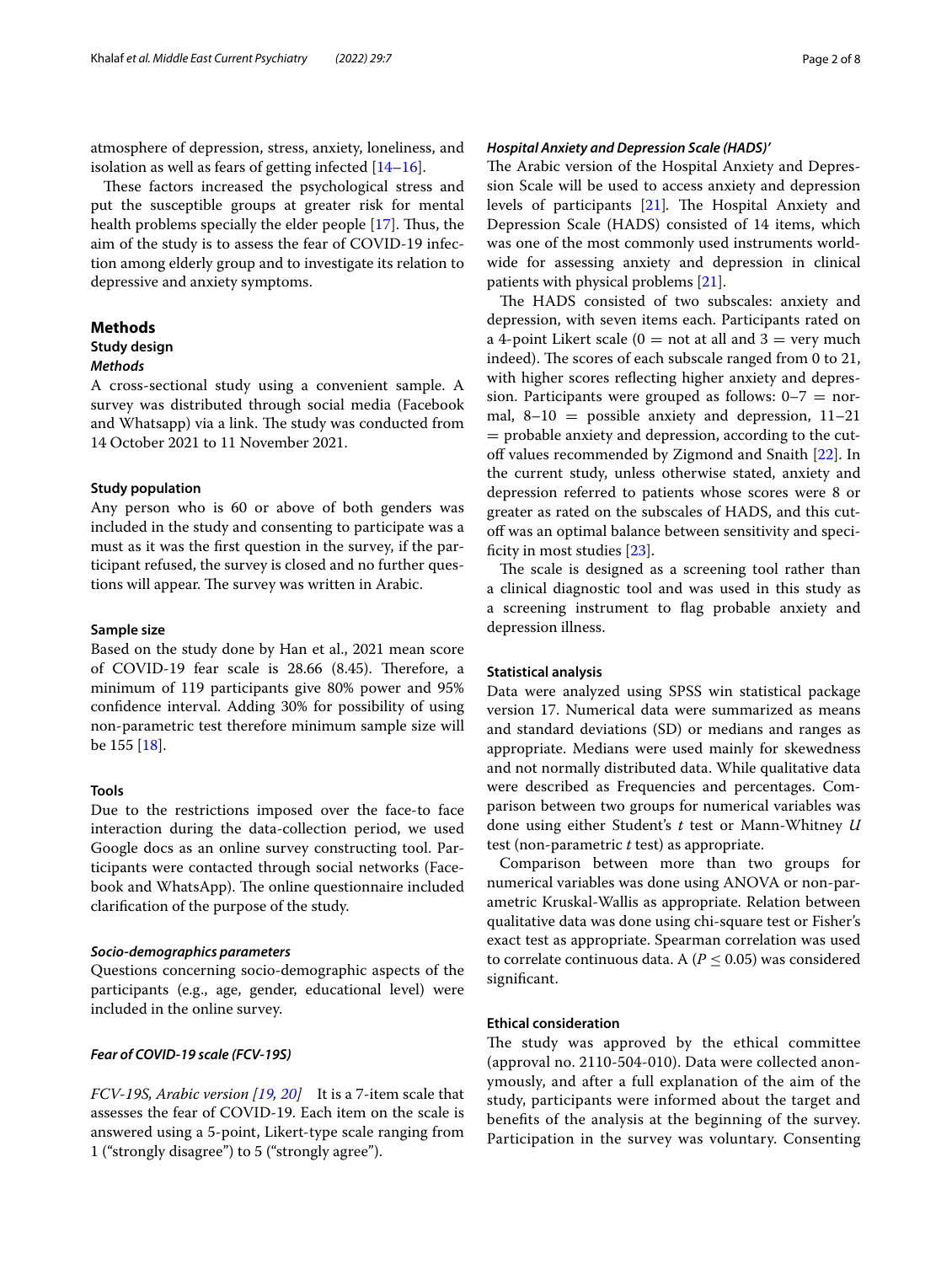atmosphere of depression, stress, anxiety, loneliness, and isolation as well as fears of getting infected  $[14–16]$  $[14–16]$  $[14–16]$  $[14–16]$ .

These factors increased the psychological stress and put the susceptible groups at greater risk for mental health problems specially the elder people [[17\]](#page-6-14). Thus, the aim of the study is to assess the fear of COVID-19 infection among elderly group and to investigate its relation to depressive and anxiety symptoms.

#### **Methods**

## **Study design**

#### *Methods*

A cross-sectional study using a convenient sample. A survey was distributed through social media (Facebook and Whatsapp) via a link. The study was conducted from 14 October 2021 to 11 November 2021.

## **Study population**

Any person who is 60 or above of both genders was included in the study and consenting to participate was a must as it was the frst question in the survey, if the participant refused, the survey is closed and no further questions will appear. The survey was written in Arabic.

#### **Sample size**

Based on the study done by Han et al., 2021 mean score of COVID-19 fear scale is 28.66 (8.45). Therefore, a minimum of 119 participants give 80% power and 95% confdence interval. Adding 30% for possibility of using non-parametric test therefore minimum sample size will be 155 [[18\]](#page-6-15).

#### **Tools**

Due to the restrictions imposed over the face-to face interaction during the data-collection period, we used Google docs as an online survey constructing tool. Participants were contacted through social networks (Facebook and WhatsApp). The online questionnaire included clarifcation of the purpose of the study.

#### *Socio‑demographics parameters*

Questions concerning socio-demographic aspects of the participants (e.g., age, gender, educational level) were included in the online survey.

#### *Fear of COVID‑19 scale (FCV‑19S)*

*FCV‑19S, Arabic version [\[19](#page-6-16), [20\]](#page-6-17)* It is a 7-item scale that assesses the fear of COVID-19. Each item on the scale is answered using a 5-point, Likert-type scale ranging from 1 ("strongly disagree") to 5 ("strongly agree").

The Arabic version of the Hospital Anxiety and Depression Scale will be used to access anxiety and depression levels of participants [[21\]](#page-6-18). The Hospital Anxiety and Depression Scale (HADS) consisted of 14 items, which was one of the most commonly used instruments worldwide for assessing anxiety and depression in clinical patients with physical problems [\[21](#page-6-18)].

The HADS consisted of two subscales: anxiety and depression, with seven items each. Participants rated on a 4-point Likert scale ( $0 =$  not at all and  $3 =$  very much indeed). The scores of each subscale ranged from 0 to 21, with higher scores refecting higher anxiety and depression. Participants were grouped as follows:  $0-7 =$  normal,  $8-10$  = possible anxiety and depression,  $11-21$ = probable anxiety and depression, according to the cut-off values recommended by Zigmond and Snaith [[22\]](#page-6-19). In the current study, unless otherwise stated, anxiety and depression referred to patients whose scores were 8 or greater as rated on the subscales of HADS, and this cutoff was an optimal balance between sensitivity and specificity in most studies  $[23]$  $[23]$  $[23]$ .

The scale is designed as a screening tool rather than a clinical diagnostic tool and was used in this study as a screening instrument to flag probable anxiety and depression illness.

#### **Statistical analysis**

Data were analyzed using SPSS win statistical package version 17. Numerical data were summarized as means and standard deviations (SD) or medians and ranges as appropriate. Medians were used mainly for skewedness and not normally distributed data. While qualitative data were described as Frequencies and percentages. Comparison between two groups for numerical variables was done using either Student's *t* test or Mann-Whitney *U* test (non-parametric *t* test) as appropriate.

Comparison between more than two groups for numerical variables was done using ANOVA or non-parametric Kruskal-Wallis as appropriate. Relation between qualitative data was done using chi-square test or Fisher's exact test as appropriate. Spearman correlation was used to correlate continuous data. A ( $P \leq 0.05$ ) was considered signifcant.

## **Ethical consideration**

The study was approved by the ethical committee (approval no. 2110-504-010). Data were collected anonymously, and after a full explanation of the aim of the study, participants were informed about the target and benefts of the analysis at the beginning of the survey. Participation in the survey was voluntary. Consenting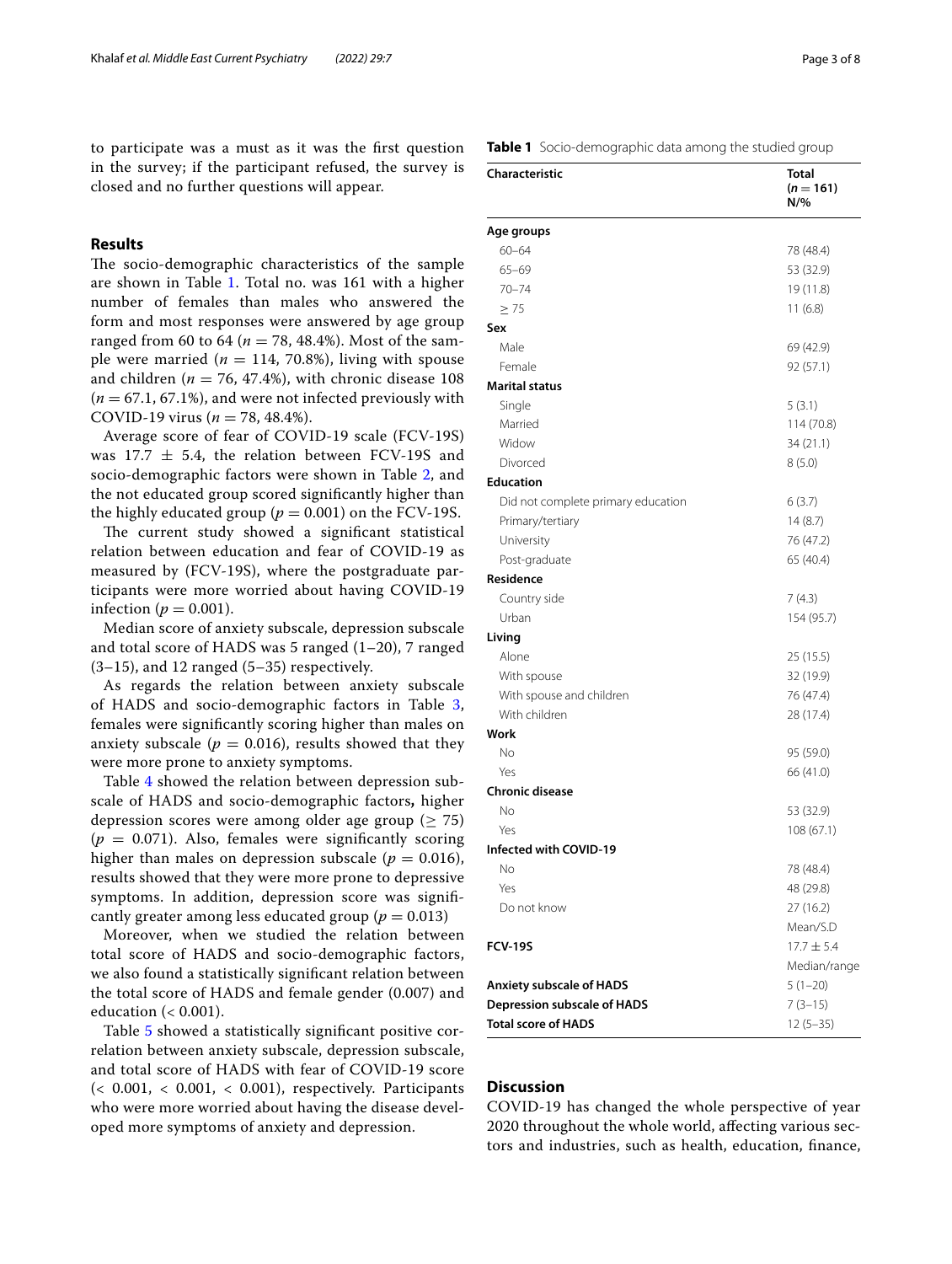to participate was a must as it was the frst question in the survey; if the participant refused, the survey is closed and no further questions will appear.

## **Results**

The socio-demographic characteristics of the sample are shown in Table [1](#page-2-0). Total no. was 161 with a higher number of females than males who answered the form and most responses were answered by age group ranged from 60 to 64 ( $n = 78, 48.4\%$ ). Most of the sample were married ( $n = 114, 70.8\%$ ), living with spouse and children ( $n = 76, 47.4\%$ ), with chronic disease 108  $(n = 67.1, 67.1\%)$ , and were not infected previously with COVID-19 virus ( $n = 78, 48.4\%$ ).

Average score of fear of COVID-19 scale (FCV-19S) was 17.7  $\pm$  5.4, the relation between FCV-19S and socio-demographic factors were shown in Table [2,](#page-3-0) and the not educated group scored signifcantly higher than the highly educated group ( $p = 0.001$ ) on the FCV-19S.

The current study showed a significant statistical relation between education and fear of COVID-19 as measured by (FCV-19S), where the postgraduate participants were more worried about having COVID-19 infection ( $p = 0.001$ ).

Median score of anxiety subscale, depression subscale and total score of HADS was 5 ranged (1–20), 7 ranged  $(3-15)$ , and 12 ranged  $(5-35)$  respectively.

As regards the relation between anxiety subscale of HADS and socio-demographic factors in Table [3](#page-3-1), females were signifcantly scoring higher than males on anxiety subscale ( $p = 0.016$ ), results showed that they were more prone to anxiety symptoms.

Table [4](#page-4-0) showed the relation between depression subscale of HADS and socio-demographic factors**,** higher depression scores were among older age group ( $\geq$  75)  $(p = 0.071)$ . Also, females were significantly scoring higher than males on depression subscale ( $p = 0.016$ ), results showed that they were more prone to depressive symptoms. In addition, depression score was signifcantly greater among less educated group ( $p = 0.013$ )

Moreover, when we studied the relation between total score of HADS and socio-demographic factors, we also found a statistically signifcant relation between the total score of HADS and female gender (0.007) and education (< 0.001).

Table [5](#page-4-1) showed a statistically signifcant positive correlation between anxiety subscale, depression subscale, and total score of HADS with fear of COVID-19 score  $\langle$  < 0.001, < 0.001, < 0.001), respectively. Participants who were more worried about having the disease developed more symptoms of anxiety and depression.

|                                    | $(n = 161)$<br>N/% |
|------------------------------------|--------------------|
| Age groups                         |                    |
| $60 - 64$                          | 78 (48.4)          |
| $65 - 69$                          | 53 (32.9)          |
| $70 - 74$                          | 19 (11.8)          |
| > 75                               | 11(6.8)            |
| Sex                                |                    |
| Male                               | 69 (42.9)          |
| Female                             | 92 (57.1)          |
| <b>Marital status</b>              |                    |
| Single                             | 5(3.1)             |
| Married                            | 114 (70.8)         |
| Widow                              | 34(21.1)           |
| Divorced                           | 8(5.0)             |
| <b>Education</b>                   |                    |
| Did not complete primary education | 6(3.7)             |
| Primary/tertiary                   | 14(8.7)            |
| University                         | 76 (47.2)          |
| Post-graduate                      | 65 (40.4)          |
| Residence                          |                    |
| Country side                       | 7(4.3)             |
| Urban                              | 154 (95.7)         |
| Living                             |                    |
| Alone                              | 25 (15.5)          |
| With spouse                        | 32 (19.9)          |
| With spouse and children           | 76 (47.4)          |
| With children                      | 28 (17.4)          |
| Work                               |                    |
| No                                 | 95 (59.0)          |
| Yes                                | 66 (41.0)          |
| <b>Chronic disease</b>             |                    |
| No                                 | 53 (32.9)          |
| Yes                                | 108(67.1)          |
| Infected with COVID-19             |                    |
| No                                 | 78 (48.4)          |
| Yes                                | 48 (29.8)          |
| Do not know                        | 27 (16.2)          |
|                                    | Mean/S.D           |
| <b>FCV-19S</b>                     | $17.7 \pm 5.4$     |
|                                    | Median/range       |
| Anxiety subscale of HADS           | $5(1-20)$          |

## **Discussion**

COVID-19 has changed the whole perspective of year 2020 throughout the whole world, afecting various sectors and industries, such as health, education, fnance,

**Depression subscale of HADS** 7 (3-15) **Total score of HADS** 12 (5–35)

<span id="page-2-0"></span>**Table 1** Socio-demographic data among the studied group

**Characteristic Total**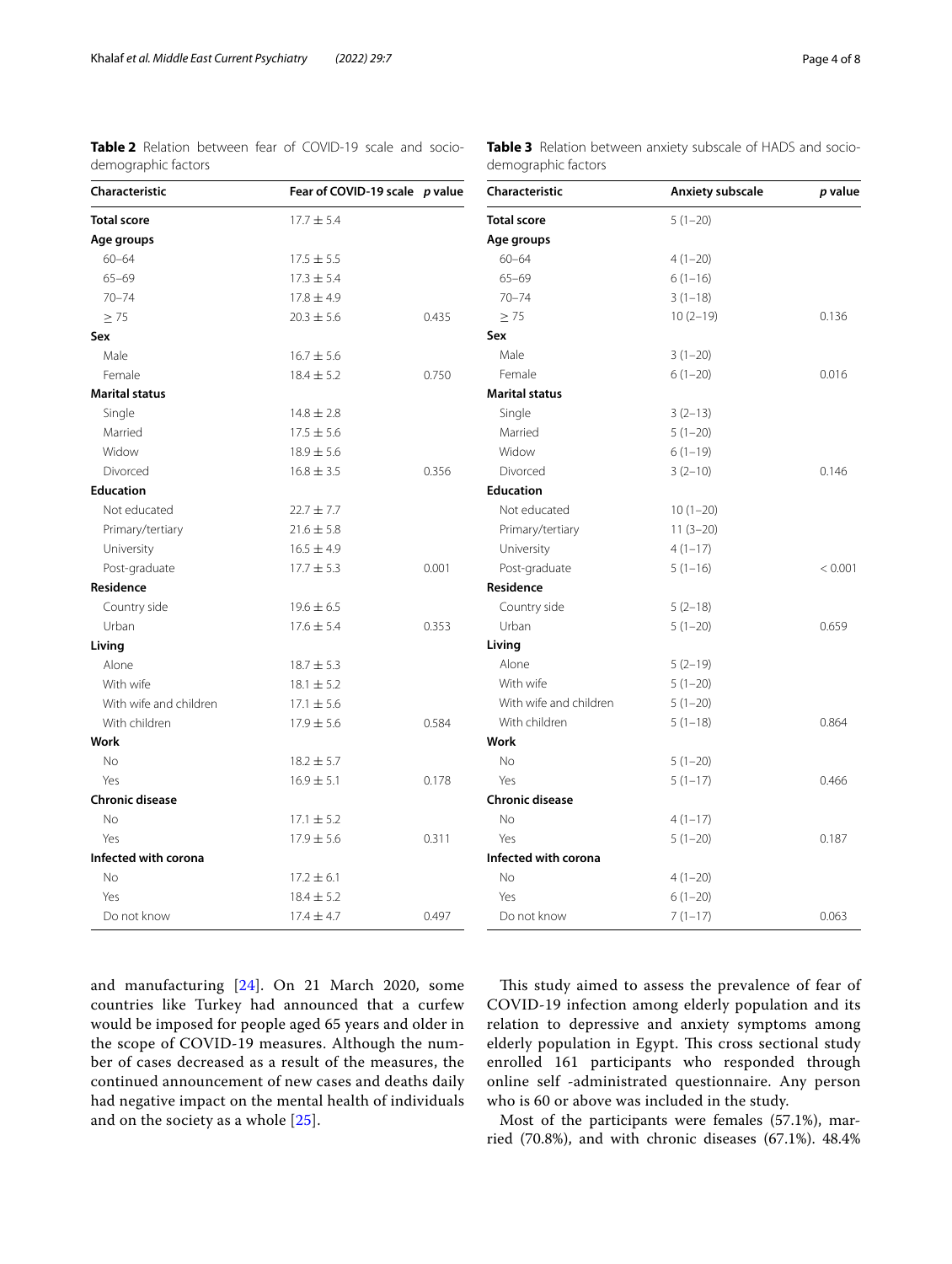**Characteristic Anxiety subscale** *p* **value**

 $< 0.001$ 

<span id="page-3-0"></span>**Table 2** Relation between fear of COVID-19 scale and sociodemographic factors

<span id="page-3-1"></span>

|                     | <b>Table 3</b> Relation between anxiety subscale of HADS and socio- |  |  |  |
|---------------------|---------------------------------------------------------------------|--|--|--|
| demographic factors |                                                                     |  |  |  |

| Characteristic         | Fear of COVID-19 scale p value |       | Characteristic         | Anxiety subscale | p val |  |
|------------------------|--------------------------------|-------|------------------------|------------------|-------|--|
| <b>Total score</b>     | $17.7 \pm 5.4$                 |       | <b>Total score</b>     | $5(1-20)$        |       |  |
| Age groups             |                                |       | Age groups             |                  |       |  |
| $60 - 64$              | $17.5 \pm 5.5$                 |       | $60 - 64$              | $4(1-20)$        |       |  |
| $65 - 69$              | $17.3 \pm 5.4$                 |       | $65 - 69$              | $6(1-16)$        |       |  |
| $70 - 74$              | $17.8 \pm 4.9$                 |       | $70 - 74$              | $3(1-18)$        |       |  |
| $\geq$ 75              | $20.3 \pm 5.6$                 | 0.435 | $\geq$ 75              | $10(2-19)$       | 0.136 |  |
| Sex                    |                                |       | Sex                    |                  |       |  |
| Male                   | $16.7 \pm 5.6$                 |       | Male                   | $3(1-20)$        |       |  |
| Female                 | $18.4 \pm 5.2$                 | 0.750 | Female                 | $6(1-20)$        | 0.016 |  |
| <b>Marital status</b>  |                                |       | <b>Marital status</b>  |                  |       |  |
| Single                 | $14.8 \pm 2.8$                 |       | Single                 | $3(2-13)$        |       |  |
| Married                | $17.5 \pm 5.6$                 |       | Married                | $5(1-20)$        |       |  |
| Widow                  | $18.9 \pm 5.6$                 |       | Widow                  | $6(1-19)$        |       |  |
| Divorced               | $16.8 \pm 3.5$                 | 0.356 | Divorced               | $3(2-10)$        | 0.146 |  |
| <b>Education</b>       |                                |       | <b>Education</b>       |                  |       |  |
| Not educated           | $22.7 \pm 7.7$                 |       | Not educated           | $10(1-20)$       |       |  |
| Primary/tertiary       | $21.6 \pm 5.8$                 |       | Primary/tertiary       | $11(3-20)$       |       |  |
| University             | $16.5 \pm 4.9$                 |       | University             | $4(1-17)$        |       |  |
| Post-graduate          | $17.7 \pm 5.3$                 | 0.001 | Post-graduate          | $5(1-16)$        | < 0.0 |  |
| Residence              |                                |       | Residence              |                  |       |  |
| Country side           | $19.6 \pm 6.5$                 |       | Country side           | $5(2-18)$        |       |  |
| Urban                  | $17.6 \pm 5.4$                 | 0.353 | Urban                  | $5(1-20)$        | 0.659 |  |
| Living                 |                                |       | Living                 |                  |       |  |
| Alone                  | $18.7 \pm 5.3$                 |       | Alone                  | $5(2-19)$        |       |  |
| With wife              | $18.1 \pm 5.2$                 |       | With wife              | $5(1-20)$        |       |  |
| With wife and children | $17.1 \pm 5.6$                 |       | With wife and children | $5(1-20)$        |       |  |
| With children          | $17.9 \pm 5.6$                 | 0.584 | With children          | $5(1-18)$        | 0.864 |  |
| <b>Work</b>            |                                |       | Work                   |                  |       |  |
| No                     | $18.2 \pm 5.7$                 |       | No                     | $5(1-20)$        |       |  |
| Yes                    | $16.9 \pm 5.1$                 | 0.178 | Yes                    | $5(1-17)$        | 0.466 |  |
| <b>Chronic disease</b> |                                |       | <b>Chronic disease</b> |                  |       |  |
| No                     | $17.1 \pm 5.2$                 |       | No                     | $4(1-17)$        |       |  |
| Yes                    | $17.9 \pm 5.6$                 | 0.311 | Yes                    | $5(1-20)$        | 0.187 |  |
| Infected with corona   |                                |       | Infected with corona   |                  |       |  |
| <b>No</b>              | $17.2 \pm 6.1$                 |       | No                     | $4(1-20)$        |       |  |
| Yes                    | $18.4 \pm 5.2$                 |       | Yes                    | $6(1-20)$        |       |  |
| Do not know            | $17.4 \pm 4.7$                 | 0.497 | Do not know            | $7(1-17)$        | 0.063 |  |

and manufacturing [[24\]](#page-6-21). On 21 March 2020, some countries like Turkey had announced that a curfew would be imposed for people aged 65 years and older in the scope of COVID-19 measures. Although the number of cases decreased as a result of the measures, the continued announcement of new cases and deaths daily had negative impact on the mental health of individuals and on the society as a whole [[25](#page-6-22)].

This study aimed to assess the prevalence of fear of COVID-19 infection among elderly population and its relation to depressive and anxiety symptoms among elderly population in Egypt. This cross sectional study enrolled 161 participants who responded through online self -administrated questionnaire. Any person who is 60 or above was included in the study.

Most of the participants were females (57.1%), married (70.8%), and with chronic diseases (67.1%). 48.4%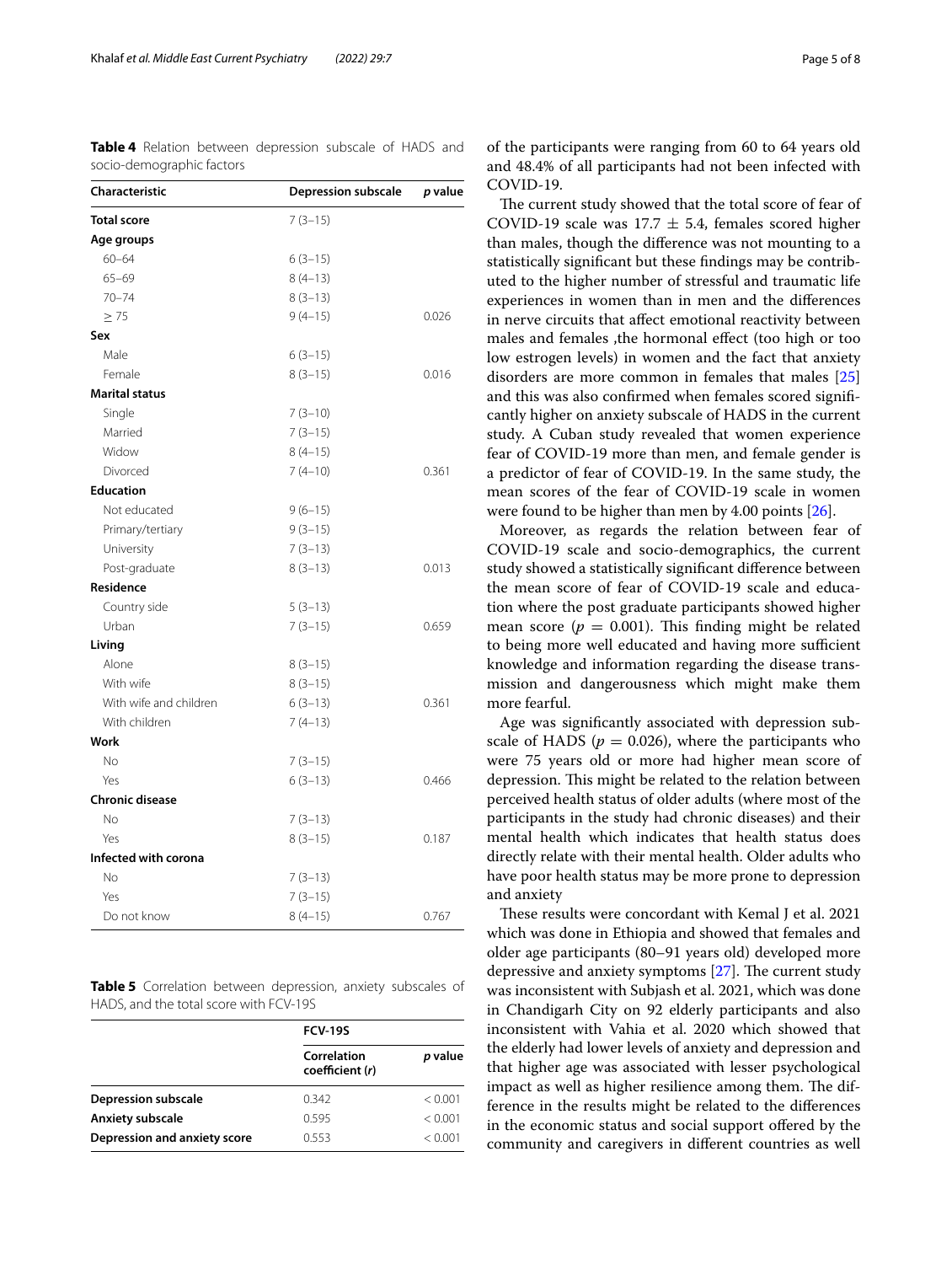<span id="page-4-0"></span>**Table 4** Relation between depression subscale of HADS and socio-demographic factors

| Characteristic         | <b>Depression subscale</b> | p value |
|------------------------|----------------------------|---------|
| <b>Total score</b>     | $7(3-15)$                  |         |
| Age groups             |                            |         |
| $60 - 64$              | $6(3-15)$                  |         |
| $65 - 69$              | $8(4-13)$                  |         |
| $70 - 74$              | $8(3-13)$                  |         |
| $\geq$ 75              | $9(4-15)$                  | 0.026   |
| Sex                    |                            |         |
| Male                   | $6(3-15)$                  |         |
| Female                 | $8(3-15)$                  | 0.016   |
| <b>Marital status</b>  |                            |         |
| Single                 | $7(3-10)$                  |         |
| Married                | $7(3-15)$                  |         |
| Widow                  | $8(4-15)$                  |         |
| Divorced               | $7(4-10)$                  | 0.361   |
| <b>Education</b>       |                            |         |
| Not educated           | $9(6-15)$                  |         |
| Primary/tertiary       | $9(3-15)$                  |         |
| University             | $7(3-13)$                  |         |
| Post-graduate          | $8(3-13)$                  | 0.013   |
| Residence              |                            |         |
| Country side           | $5(3-13)$                  |         |
| Urban                  | $7(3-15)$                  | 0.659   |
| Living                 |                            |         |
| Alone                  | $8(3-15)$                  |         |
| With wife              | $8(3-15)$                  |         |
| With wife and children | $6(3-13)$                  | 0.361   |
| With children          | $7(4-13)$                  |         |
| Work                   |                            |         |
| <b>No</b>              | $7(3-15)$                  |         |
| Yes                    | $6(3-13)$                  | 0.466   |
| <b>Chronic disease</b> |                            |         |
| <b>No</b>              | $7(3-13)$                  |         |
| Yes                    | $8(3-15)$                  | 0.187   |
| Infected with corona   |                            |         |
| <b>No</b>              | $7(3-13)$                  |         |
| Yes                    | $7(3-15)$                  |         |
| Do not know            | $8(4-15)$                  | 0.767   |

<span id="page-4-1"></span>**Table 5** Correlation between depression, anxiety subscales of HADS, and the total score with FCV-19S

|                              | <b>FCV-19S</b>                 |         |  |
|------------------------------|--------------------------------|---------|--|
|                              | Correlation<br>coefficient (r) | p value |  |
| Depression subscale          | 0342                           | < 0.001 |  |
| Anxiety subscale             | 0.595                          | < 0.001 |  |
| Depression and anxiety score | 0.553                          | < 0.001 |  |

of the participants were ranging from 60 to 64 years old and 48.4% of all participants had not been infected with COVID-19.

The current study showed that the total score of fear of COVID-19 scale was 17.7  $\pm$  5.4, females scored higher than males, though the diference was not mounting to a statistically signifcant but these fndings may be contributed to the higher number of stressful and traumatic life experiences in women than in men and the diferences in nerve circuits that afect emotional reactivity between males and females ,the hormonal efect (too high or too low estrogen levels) in women and the fact that anxiety disorders are more common in females that males [[25](#page-6-22)] and this was also confrmed when females scored signifcantly higher on anxiety subscale of HADS in the current study. A Cuban study revealed that women experience fear of COVID-19 more than men, and female gender is a predictor of fear of COVID-19. In the same study, the mean scores of the fear of COVID-19 scale in women were found to be higher than men by 4.00 points [\[26\]](#page-6-23).

Moreover, as regards the relation between fear of COVID-19 scale and socio-demographics, the current study showed a statistically signifcant diference between the mean score of fear of COVID-19 scale and education where the post graduate participants showed higher mean score ( $p = 0.001$ ). This finding might be related to being more well educated and having more sufficient knowledge and information regarding the disease transmission and dangerousness which might make them more fearful.

Age was signifcantly associated with depression subscale of HADS ( $p = 0.026$ ), where the participants who were 75 years old or more had higher mean score of depression. This might be related to the relation between perceived health status of older adults (where most of the participants in the study had chronic diseases) and their mental health which indicates that health status does directly relate with their mental health. Older adults who have poor health status may be more prone to depression and anxiety

These results were concordant with Kemal J et al. 2021 which was done in Ethiopia and showed that females and older age participants (80–91 years old) developed more depressive and anxiety symptoms  $[27]$  $[27]$ . The current study was inconsistent with Subjash et al. 2021, which was done in Chandigarh City on 92 elderly participants and also inconsistent with Vahia et al. 2020 which showed that the elderly had lower levels of anxiety and depression and that higher age was associated with lesser psychological impact as well as higher resilience among them. The difference in the results might be related to the diferences in the economic status and social support ofered by the community and caregivers in diferent countries as well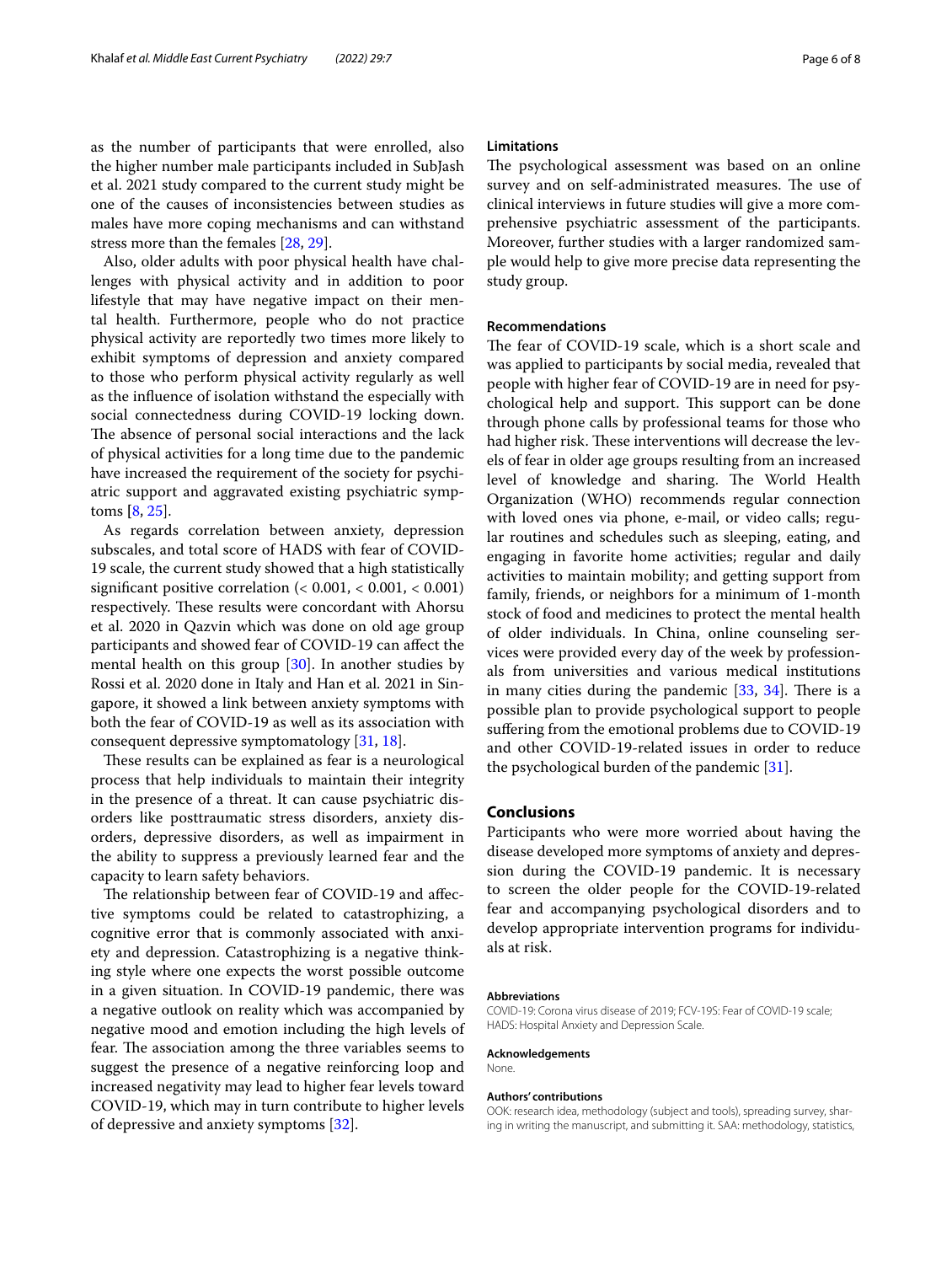as the number of participants that were enrolled, also the higher number male participants included in SubJash et al. 2021 study compared to the current study might be one of the causes of inconsistencies between studies as males have more coping mechanisms and can withstand stress more than the females [\[28](#page-6-25), [29](#page-6-26)].

Also, older adults with poor physical health have challenges with physical activity and in addition to poor lifestyle that may have negative impact on their mental health. Furthermore, people who do not practice physical activity are reportedly two times more likely to exhibit symptoms of depression and anxiety compared to those who perform physical activity regularly as well as the infuence of isolation withstand the especially with social connectedness during COVID-19 locking down. The absence of personal social interactions and the lack of physical activities for a long time due to the pandemic have increased the requirement of the society for psychiatric support and aggravated existing psychiatric symptoms **[**[8,](#page-6-6) [25\]](#page-6-22).

As regards correlation between anxiety, depression subscales, and total score of HADS with fear of COVID-19 scale, the current study showed that a high statistically signifcant positive correlation (< 0.001, < 0.001, < 0.001) respectively. These results were concordant with Ahorsu et al. 2020 in Qazvin which was done on old age group participants and showed fear of COVID-19 can afect the mental health on this group  $[30]$  $[30]$ . In another studies by Rossi et al. 2020 done in Italy and Han et al. 2021 in Singapore, it showed a link between anxiety symptoms with both the fear of COVID-19 as well as its association with consequent depressive symptomatology [[31](#page-6-28), [18\]](#page-6-15).

These results can be explained as fear is a neurological process that help individuals to maintain their integrity in the presence of a threat. It can cause psychiatric disorders like posttraumatic stress disorders, anxiety disorders, depressive disorders, as well as impairment in the ability to suppress a previously learned fear and the capacity to learn safety behaviors.

The relationship between fear of COVID-19 and affective symptoms could be related to catastrophizing, a cognitive error that is commonly associated with anxiety and depression. Catastrophizing is a negative thinking style where one expects the worst possible outcome in a given situation. In COVID-19 pandemic, there was a negative outlook on reality which was accompanied by negative mood and emotion including the high levels of fear. The association among the three variables seems to suggest the presence of a negative reinforcing loop and increased negativity may lead to higher fear levels toward COVID-19, which may in turn contribute to higher levels of depressive and anxiety symptoms [\[32\]](#page-6-29).

#### **Limitations**

The psychological assessment was based on an online survey and on self-administrated measures. The use of clinical interviews in future studies will give a more comprehensive psychiatric assessment of the participants. Moreover, further studies with a larger randomized sample would help to give more precise data representing the study group.

#### **Recommendations**

The fear of COVID-19 scale, which is a short scale and was applied to participants by social media, revealed that people with higher fear of COVID-19 are in need for psychological help and support. This support can be done through phone calls by professional teams for those who had higher risk. These interventions will decrease the levels of fear in older age groups resulting from an increased level of knowledge and sharing. The World Health Organization (WHO) recommends regular connection with loved ones via phone, e-mail, or video calls; regular routines and schedules such as sleeping, eating, and engaging in favorite home activities; regular and daily activities to maintain mobility; and getting support from family, friends, or neighbors for a minimum of 1-month stock of food and medicines to protect the mental health of older individuals. In China, online counseling services were provided every day of the week by professionals from universities and various medical institutions in many cities during the pandemic  $[33, 34]$  $[33, 34]$  $[33, 34]$ . There is a possible plan to provide psychological support to people sufering from the emotional problems due to COVID-19 and other COVID-19-related issues in order to reduce the psychological burden of the pandemic [[31\]](#page-6-28).

#### **Conclusions**

Participants who were more worried about having the disease developed more symptoms of anxiety and depression during the COVID-19 pandemic. It is necessary to screen the older people for the COVID-19-related fear and accompanying psychological disorders and to develop appropriate intervention programs for individuals at risk.

#### **Abbreviations**

COVID-19: Corona virus disease of 2019; FCV-19S: Fear of COVID-19 scale; HADS: Hospital Anxiety and Depression Scale.

#### **Acknowledgements**

None.

#### **Authors' contributions**

OOK: research idea, methodology (subject and tools), spreading survey, sharing in writing the manuscript, and submitting it. SAA: methodology, statistics,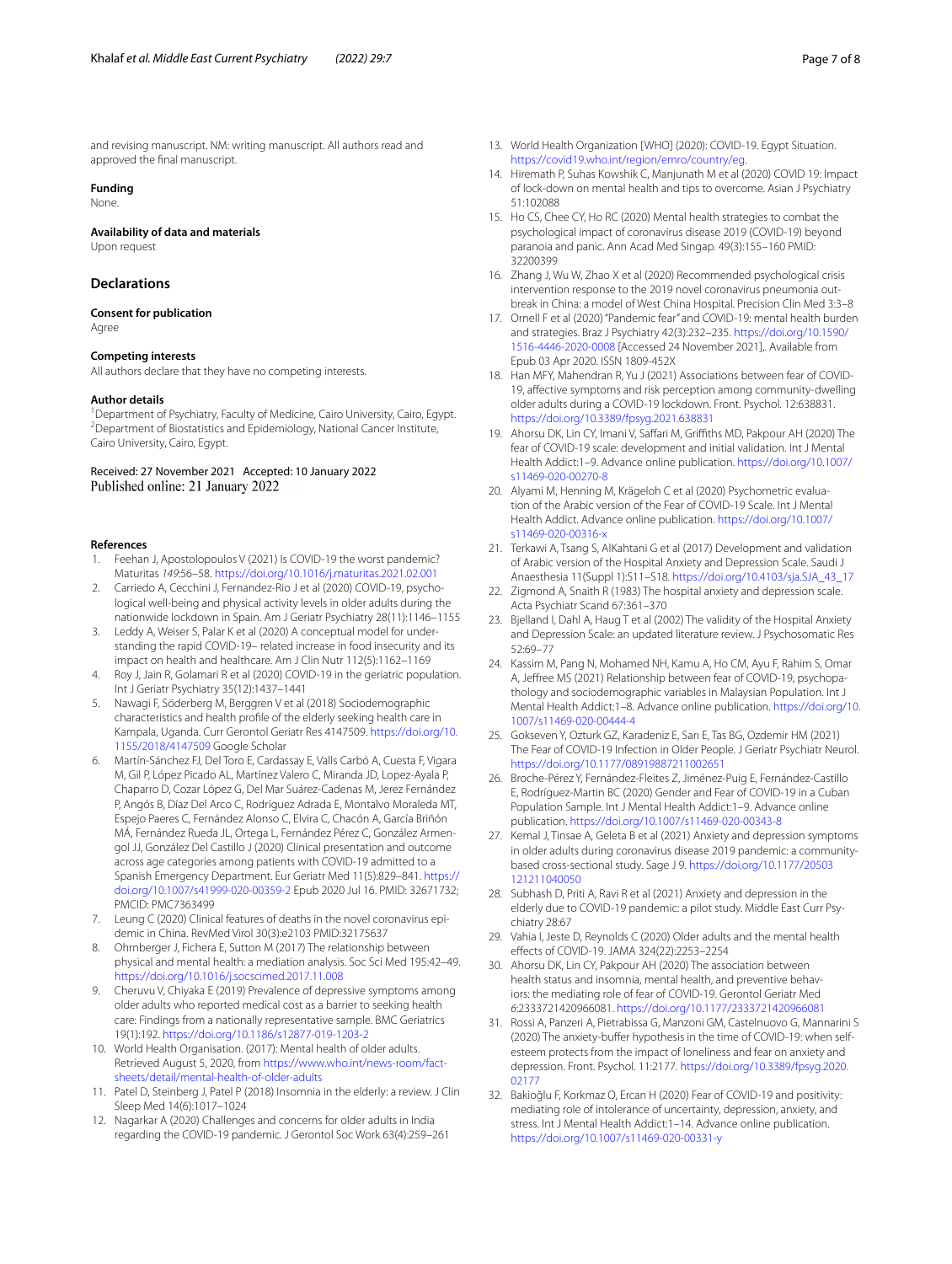and revising manuscript. NM: writing manuscript. All authors read and approved the fnal manuscript.

# **Funding**

None.

#### **Availability of data and materials**

Upon request

## **Declarations**

#### **Consent for publication** Agree

### **Competing interests**

All authors declare that they have no competing interests.

#### **Author details**

<sup>1</sup> Department of Psychiatry, Faculty of Medicine, Cairo University, Cairo, Egypt.<br><sup>2</sup> Department of Biostatistics and Enidemiology, National Cancer Institute. Department of Biostatistics and Epidemiology, National Cancer Institute, Cairo University, Cairo, Egypt.

Received: 27 November 2021 Accepted: 10 January 2022 Published online: 21 January 2022

#### **References**

- <span id="page-6-0"></span>1. Feehan J, Apostolopoulos V (2021) Is COVID-19 the worst pandemic? Maturitas *149*:56–58.<https://doi.org/10.1016/j.maturitas.2021.02.001>
- <span id="page-6-1"></span>2. Carriedo A, Cecchini J, Fernandez-Rio J et al (2020) COVID-19, psychological well-being and physical activity levels in older adults during the nationwide lockdown in Spain. Am J Geriatr Psychiatry 28(11):1146–1155
- 3. Leddy A, Weiser S, Palar K et al (2020) A conceptual model for understanding the rapid COVID-19– related increase in food insecurity and its impact on health and healthcare. Am J Clin Nutr 112(5):1162–1169
- <span id="page-6-2"></span>4. Roy J, Jain R, Golamari R et al (2020) COVID-19 in the geriatric population. Int J Geriatr Psychiatry 35(12):1437–1441
- <span id="page-6-3"></span>5. Nawagi F, Söderberg M, Berggren V et al (2018) Sociodemographic characteristics and health profle of the elderly seeking health care in Kampala, Uganda. Curr Gerontol Geriatr Res 4147509. [https://doi.org/10.](https://doi.org/10.1155/2018/4147509) [1155/2018/4147509](https://doi.org/10.1155/2018/4147509) Google Scholar
- <span id="page-6-4"></span>6. Martín-Sánchez FJ, Del Toro E, Cardassay E, Valls Carbó A, Cuesta F, Vigara M, Gil P, López Picado AL, Martínez Valero C, Miranda JD, Lopez-Ayala P, Chaparro D, Cozar López G, Del Mar Suárez-Cadenas M, Jerez Fernández P, Angós B, Díaz Del Arco C, Rodríguez Adrada E, Montalvo Moraleda MT, Espejo Paeres C, Fernández Alonso C, Elvira C, Chacón A, García Briñón MÁ, Fernández Rueda JL, Ortega L, Fernández Pérez C, González Armengol JJ, González Del Castillo J (2020) Clinical presentation and outcome across age categories among patients with COVID-19 admitted to a Spanish Emergency Department. Eur Geriatr Med 11(5):829–841. [https://](https://doi.org/10.1007/s41999-020-00359-2) [doi.org/10.1007/s41999-020-00359-2](https://doi.org/10.1007/s41999-020-00359-2) Epub 2020 Jul 16. PMID: 32671732; PMCID: PMC7363499
- <span id="page-6-5"></span>7. Leung C (2020) Clinical features of deaths in the novel coronavirus epidemic in China. RevMed Virol 30(3):e2103 PMID:32175637
- <span id="page-6-6"></span>8. Ohrnberger J, Fichera E, Sutton M (2017) The relationship between physical and mental health: a mediation analysis. Soc Sci Med 195:42–49. <https://doi.org/10.1016/j.socscimed.2017.11.008>
- <span id="page-6-7"></span>9. Cheruvu V, Chiyaka E (2019) Prevalence of depressive symptoms among older adults who reported medical cost as a barrier to seeking health care: Findings from a nationally representative sample. BMC Geriatrics 19(1):192. <https://doi.org/10.1186/s12877-019-1203-2>
- <span id="page-6-8"></span>10. World Health Organisation. (2017): Mental health of older adults. Retrieved August 5, 2020, from [https://www.who.int/news-room/fact](https://www.who.int/news-room/fact-sheets/detail/mental-health-of-older-adults)[sheets/detail/mental-health-of-older-adults](https://www.who.int/news-room/fact-sheets/detail/mental-health-of-older-adults)
- <span id="page-6-9"></span>11. Patel D, Steinberg J, Patel P (2018) Insomnia in the elderly: a review. J Clin Sleep Med 14(6):1017–1024
- <span id="page-6-10"></span>12. Nagarkar A (2020) Challenges and concerns for older adults in India regarding the COVID-19 pandemic. J Gerontol Soc Work 63(4):259–261
- <span id="page-6-11"></span>13. World Health Organization [WHO] (2020): COVID-19. Egypt Situation. <https://covid19.who.int/region/emro/country/eg>.
- <span id="page-6-12"></span>14. Hiremath P, Suhas Kowshik C, Manjunath M et al (2020) COVID 19: Impact of lock-down on mental health and tips to overcome. Asian J Psychiatry 51:102088
- 15. Ho CS, Chee CY, Ho RC (2020) Mental health strategies to combat the psychological impact of coronavirus disease 2019 (COVID-19) beyond paranoia and panic. Ann Acad Med Singap. 49(3):155–160 PMID: 32200399
- <span id="page-6-13"></span>16. Zhang J, Wu W, Zhao X et al (2020) Recommended psychological crisis intervention response to the 2019 novel coronavirus pneumonia outbreak in China: a model of West China Hospital. Precision Clin Med 3:3–8
- <span id="page-6-14"></span>17. Ornell F et al (2020) "Pandemic fear" and COVID-19: mental health burden and strategies. Braz J Psychiatry 42(3):232–235. [https://doi.org/10.1590/](https://doi.org/10.1590/1516-4446-2020-0008) [1516-4446-2020-0008](https://doi.org/10.1590/1516-4446-2020-0008) [Accessed 24 November 2021],. Available from Epub 03 Apr 2020. ISSN 1809-452X
- <span id="page-6-15"></span>18. Han MFY, Mahendran R, Yu J (2021) Associations between fear of COVID-19, afective symptoms and risk perception among community-dwelling older adults during a COVID-19 lockdown. Front. Psychol. 12:638831. <https://doi.org/10.3389/fpsyg.2021.638831>
- <span id="page-6-16"></span>19. Ahorsu DK, Lin CY, Imani V, Safari M, Grifths MD, Pakpour AH (2020) The fear of COVID-19 scale: development and initial validation. Int J Mental Health Addict:1–9. Advance online publication. [https://doi.org/10.1007/](https://doi.org/10.1007/s11469-020-00270-8) [s11469-020-00270-8](https://doi.org/10.1007/s11469-020-00270-8)
- <span id="page-6-17"></span>20. Alyami M, Henning M, Krägeloh C et al (2020) Psychometric evaluation of the Arabic version of the Fear of COVID-19 Scale. Int J Mental Health Addict. Advance online publication. [https://doi.org/10.1007/](https://doi.org/10.1007/s11469-020-00316-x) [s11469-020-00316-x](https://doi.org/10.1007/s11469-020-00316-x)
- <span id="page-6-18"></span>21. Terkawi A, Tsang S, AlKahtani G et al (2017) Development and validation of Arabic version of the Hospital Anxiety and Depression Scale. Saudi J Anaesthesia 11(Suppl 1):S11–S18. [https://doi.org/10.4103/sja.SJA\\_43\\_17](https://doi.org/10.4103/sja.SJA_43_17)
- <span id="page-6-19"></span>22. Zigmond A, Snaith R (1983) The hospital anxiety and depression scale. Acta Psychiatr Scand 67:361–370
- <span id="page-6-20"></span>23. Bjelland I, Dahl A, Haug T et al (2002) The validity of the Hospital Anxiety and Depression Scale: an updated literature review. J Psychosomatic Res 52:69–77
- <span id="page-6-21"></span>24. Kassim M, Pang N, Mohamed NH, Kamu A, Ho CM, Ayu F, Rahim S, Omar A, Jefree MS (2021) Relationship between fear of COVID-19, psychopathology and sociodemographic variables in Malaysian Population. Int J Mental Health Addict:1–8. Advance online publication. [https://doi.org/10.](https://doi.org/10.1007/s11469-020-00444-4) [1007/s11469-020-00444-4](https://doi.org/10.1007/s11469-020-00444-4)
- <span id="page-6-22"></span>25. Gokseven Y, Ozturk GZ, Karadeniz E, Sarı E, Tas BG, Ozdemir HM (2021) The Fear of COVID-19 Infection in Older People. J Geriatr Psychiatr Neurol. <https://doi.org/10.1177/08919887211002651>
- <span id="page-6-23"></span>26. Broche-Pérez Y, Fernández-Fleites Z, Jiménez-Puig E, Fernández-Castillo E, Rodríguez-Martin BC (2020) Gender and Fear of COVID-19 in a Cuban Population Sample. Int J Mental Health Addict:1–9. Advance online publication. <https://doi.org/10.1007/s11469-020-00343-8>
- <span id="page-6-24"></span>27. Kemal J, Tinsae A, Geleta B et al (2021) Anxiety and depression symptoms in older adults during coronavirus disease 2019 pandemic: a communitybased cross-sectional study. Sage J 9. [https://doi.org/10.1177/20503](https://doi.org/10.1177/20503121211040050) [121211040050](https://doi.org/10.1177/20503121211040050)
- <span id="page-6-25"></span>28. Subhash D, Priti A, Ravi R et al (2021) Anxiety and depression in the elderly due to COVID-19 pandemic: a pilot study. Middle East Curr Psychiatry 28:67
- <span id="page-6-26"></span>29. Vahia I, Jeste D, Reynolds C (2020) Older adults and the mental health efects of COVID-19. JAMA 324(22):2253–2254
- <span id="page-6-27"></span>30. Ahorsu DK, Lin CY, Pakpour AH (2020) The association between health status and insomnia, mental health, and preventive behaviors: the mediating role of fear of COVID-19. Gerontol Geriatr Med *6*:2333721420966081.<https://doi.org/10.1177/2333721420966081>
- <span id="page-6-28"></span>31. Rossi A, Panzeri A, Pietrabissa G, Manzoni GM, Castelnuovo G, Mannarini S (2020) The anxiety-buffer hypothesis in the time of COVID-19: when selfesteem protects from the impact of loneliness and fear on anxiety and depression. Front. Psychol. 11:2177. [https://doi.org/10.3389/fpsyg.2020.](https://doi.org/10.3389/fpsyg.2020.02177) [02177](https://doi.org/10.3389/fpsyg.2020.02177)
- <span id="page-6-29"></span>32. Bakioğlu F, Korkmaz O, Ercan H (2020) Fear of COVID-19 and positivity: mediating role of intolerance of uncertainty, depression, anxiety, and stress. Int J Mental Health Addict:1–14. Advance online publication. <https://doi.org/10.1007/s11469-020-00331-y>